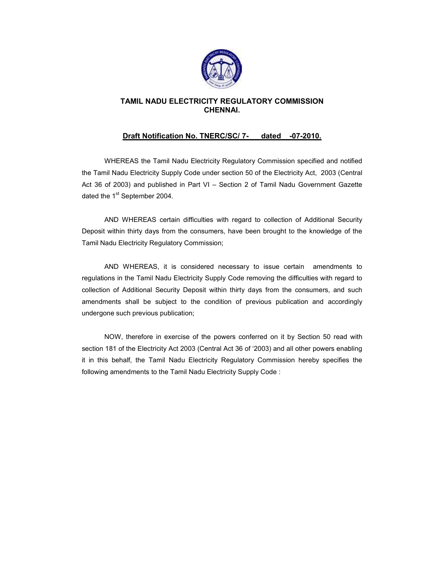

# TAMIL NADU ELECTRICITY REGULATORY COMMISSION CHENNAI.

# Draft Notification No. TNERC/SC/ 7- dated -07-2010.

 WHEREAS the Tamil Nadu Electricity Regulatory Commission specified and notified the Tamil Nadu Electricity Supply Code under section 50 of the Electricity Act, 2003 (Central Act 36 of 2003) and published in Part VI – Section 2 of Tamil Nadu Government Gazette dated the 1<sup>st</sup> September 2004.

 AND WHEREAS certain difficulties with regard to collection of Additional Security Deposit within thirty days from the consumers, have been brought to the knowledge of the Tamil Nadu Electricity Regulatory Commission;

 AND WHEREAS, it is considered necessary to issue certain amendments to regulations in the Tamil Nadu Electricity Supply Code removing the difficulties with regard to collection of Additional Security Deposit within thirty days from the consumers, and such amendments shall be subject to the condition of previous publication and accordingly undergone such previous publication;

 NOW, therefore in exercise of the powers conferred on it by Section 50 read with section 181 of the Electricity Act 2003 (Central Act 36 of '2003) and all other powers enabling it in this behalf, the Tamil Nadu Electricity Regulatory Commission hereby specifies the following amendments to the Tamil Nadu Electricity Supply Code :